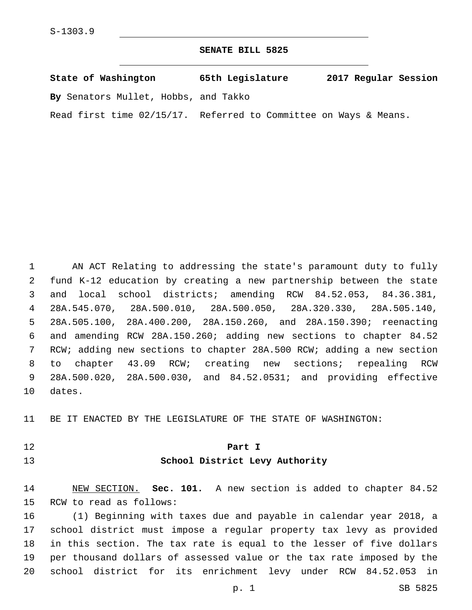### **SENATE BILL 5825**

| State of Washington                                              | 65th Legislature | 2017 Regular Session |
|------------------------------------------------------------------|------------------|----------------------|
| By Senators Mullet, Hobbs, and Takko                             |                  |                      |
| Read first time 02/15/17. Referred to Committee on Ways & Means. |                  |                      |

 AN ACT Relating to addressing the state's paramount duty to fully fund K-12 education by creating a new partnership between the state and local school districts; amending RCW 84.52.053, 84.36.381, 28A.545.070, 28A.500.010, 28A.500.050, 28A.320.330, 28A.505.140, 28A.505.100, 28A.400.200, 28A.150.260, and 28A.150.390; reenacting and amending RCW 28A.150.260; adding new sections to chapter 84.52 RCW; adding new sections to chapter 28A.500 RCW; adding a new section to chapter 43.09 RCW; creating new sections; repealing RCW 28A.500.020, 28A.500.030, and 84.52.0531; and providing effective 10 dates.

BE IT ENACTED BY THE LEGISLATURE OF THE STATE OF WASHINGTON:

## **Part I School District Levy Authority**

 NEW SECTION. **Sec. 101.** A new section is added to chapter 84.52 15 RCW to read as follows:

 (1) Beginning with taxes due and payable in calendar year 2018, a school district must impose a regular property tax levy as provided in this section. The tax rate is equal to the lesser of five dollars per thousand dollars of assessed value or the tax rate imposed by the school district for its enrichment levy under RCW 84.52.053 in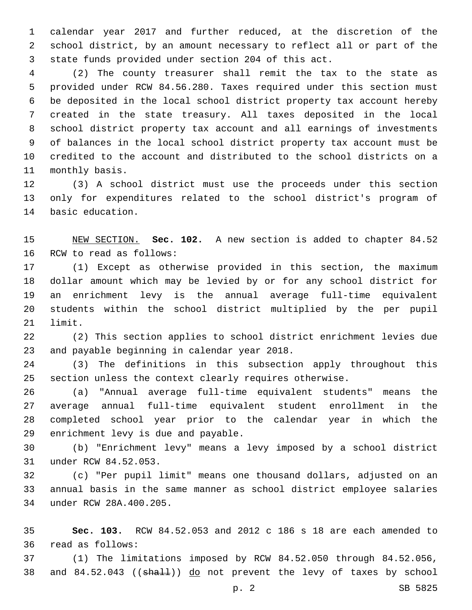calendar year 2017 and further reduced, at the discretion of the school district, by an amount necessary to reflect all or part of the state funds provided under section 204 of this act.

 (2) The county treasurer shall remit the tax to the state as provided under RCW 84.56.280. Taxes required under this section must be deposited in the local school district property tax account hereby created in the state treasury. All taxes deposited in the local school district property tax account and all earnings of investments of balances in the local school district property tax account must be credited to the account and distributed to the school districts on a 11 monthly basis.

 (3) A school district must use the proceeds under this section only for expenditures related to the school district's program of 14 basic education.

 NEW SECTION. **Sec. 102.** A new section is added to chapter 84.52 16 RCW to read as follows:

 (1) Except as otherwise provided in this section, the maximum dollar amount which may be levied by or for any school district for an enrichment levy is the annual average full-time equivalent students within the school district multiplied by the per pupil 21 limit.

 (2) This section applies to school district enrichment levies due 23 and payable beginning in calendar year 2018.

 (3) The definitions in this subsection apply throughout this section unless the context clearly requires otherwise.

 (a) "Annual average full-time equivalent students" means the average annual full-time equivalent student enrollment in the completed school year prior to the calendar year in which the 29 enrichment levy is due and payable.

 (b) "Enrichment levy" means a levy imposed by a school district 31 under RCW 84.52.053.

 (c) "Per pupil limit" means one thousand dollars, adjusted on an annual basis in the same manner as school district employee salaries 34 under RCW 28A.400.205.

 **Sec. 103.** RCW 84.52.053 and 2012 c 186 s 18 are each amended to 36 read as follows:

 (1) The limitations imposed by RCW 84.52.050 through 84.52.056, 38 and 84.52.043 ((shall)) do not prevent the levy of taxes by school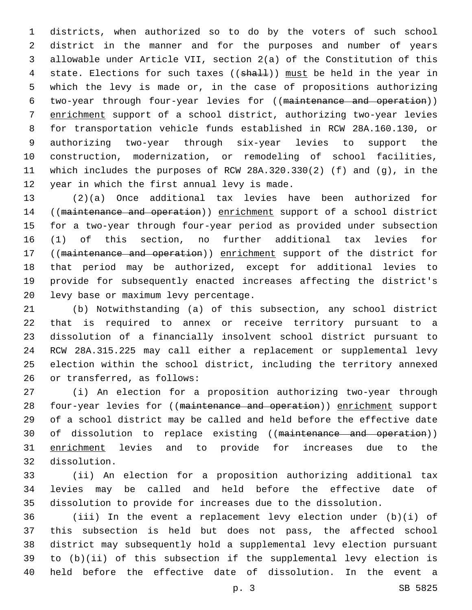districts, when authorized so to do by the voters of such school district in the manner and for the purposes and number of years allowable under Article VII, section 2(a) of the Constitution of this 4 state. Elections for such taxes ((shall)) must be held in the year in which the levy is made or, in the case of propositions authorizing two-year through four-year levies for ((maintenance and operation)) enrichment support of a school district, authorizing two-year levies for transportation vehicle funds established in RCW 28A.160.130, or authorizing two-year through six-year levies to support the construction, modernization, or remodeling of school facilities, which includes the purposes of RCW 28A.320.330(2) (f) and (g), in the 12 year in which the first annual levy is made.

 (2)(a) Once additional tax levies have been authorized for ((maintenance and operation)) enrichment support of a school district for a two-year through four-year period as provided under subsection (1) of this section, no further additional tax levies for 17 ((maintenance and operation)) enrichment support of the district for that period may be authorized, except for additional levies to provide for subsequently enacted increases affecting the district's 20 levy base or maximum levy percentage.

 (b) Notwithstanding (a) of this subsection, any school district that is required to annex or receive territory pursuant to a dissolution of a financially insolvent school district pursuant to RCW 28A.315.225 may call either a replacement or supplemental levy election within the school district, including the territory annexed 26 or transferred, as follows:

 (i) An election for a proposition authorizing two-year through 28 four-year levies for ((maintenance and operation)) enrichment support of a school district may be called and held before the effective date 30 of dissolution to replace existing ((maintenance and operation)) enrichment levies and to provide for increases due to the 32 dissolution.

 (ii) An election for a proposition authorizing additional tax levies may be called and held before the effective date of dissolution to provide for increases due to the dissolution.

 (iii) In the event a replacement levy election under (b)(i) of this subsection is held but does not pass, the affected school district may subsequently hold a supplemental levy election pursuant to (b)(ii) of this subsection if the supplemental levy election is held before the effective date of dissolution. In the event a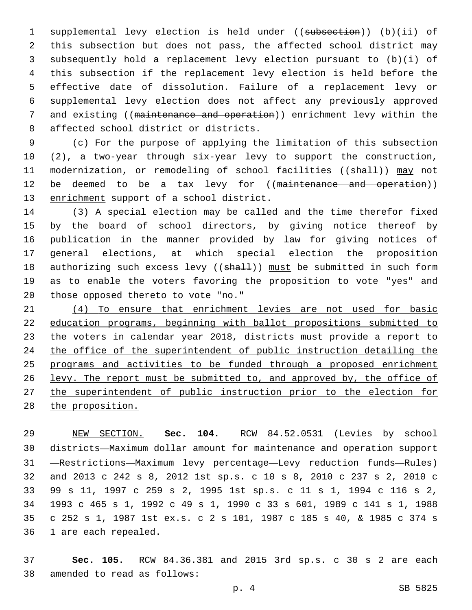supplemental levy election is held under ((subsection)) (b)(ii) of this subsection but does not pass, the affected school district may subsequently hold a replacement levy election pursuant to (b)(i) of this subsection if the replacement levy election is held before the effective date of dissolution. Failure of a replacement levy or supplemental levy election does not affect any previously approved and existing ((maintenance and operation)) enrichment levy within the 8 affected school district or districts.

 (c) For the purpose of applying the limitation of this subsection (2), a two-year through six-year levy to support the construction, 11 modernization, or remodeling of school facilities ((shall)) may not 12 be deemed to be a tax levy for ((maintenance and operation)) 13 enrichment support of a school district.

 (3) A special election may be called and the time therefor fixed by the board of school directors, by giving notice thereof by publication in the manner provided by law for giving notices of general elections, at which special election the proposition 18 authorizing such excess levy ((shall)) must be submitted in such form as to enable the voters favoring the proposition to vote "yes" and 20 those opposed thereto to vote "no."

 (4) To ensure that enrichment levies are not used for basic education programs, beginning with ballot propositions submitted to 23 the voters in calendar year 2018, districts must provide a report to 24 the office of the superintendent of public instruction detailing the 25 programs and activities to be funded through a proposed enrichment levy. The report must be submitted to, and approved by, the office of the superintendent of public instruction prior to the election for the proposition.

 NEW SECTION. **Sec. 104.** RCW 84.52.0531 (Levies by school districts—Maximum dollar amount for maintenance and operation support —Restrictions—Maximum levy percentage—Levy reduction funds—Rules) and 2013 c 242 s 8, 2012 1st sp.s. c 10 s 8, 2010 c 237 s 2, 2010 c 99 s 11, 1997 c 259 s 2, 1995 1st sp.s. c 11 s 1, 1994 c 116 s 2, 1993 c 465 s 1, 1992 c 49 s 1, 1990 c 33 s 601, 1989 c 141 s 1, 1988 c 252 s 1, 1987 1st ex.s. c 2 s 101, 1987 c 185 s 40, & 1985 c 374 s 1 are each repealed.

 **Sec. 105.** RCW 84.36.381 and 2015 3rd sp.s. c 30 s 2 are each amended to read as follows:38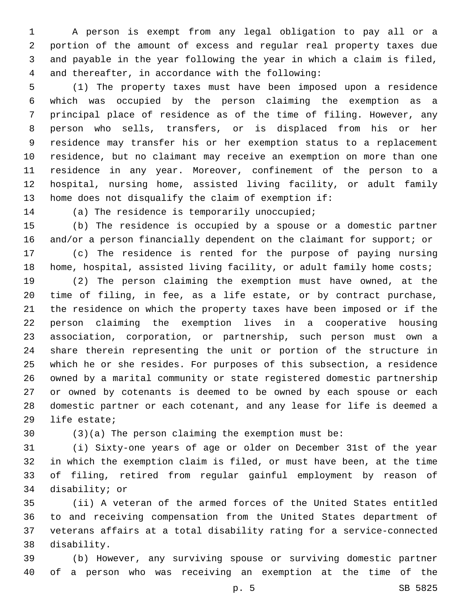A person is exempt from any legal obligation to pay all or a portion of the amount of excess and regular real property taxes due and payable in the year following the year in which a claim is filed, 4 and thereafter, in accordance with the following:

 (1) The property taxes must have been imposed upon a residence which was occupied by the person claiming the exemption as a principal place of residence as of the time of filing. However, any person who sells, transfers, or is displaced from his or her residence may transfer his or her exemption status to a replacement residence, but no claimant may receive an exemption on more than one residence in any year. Moreover, confinement of the person to a hospital, nursing home, assisted living facility, or adult family home does not disqualify the claim of exemption if:

14 (a) The residence is temporarily unoccupied;

 (b) The residence is occupied by a spouse or a domestic partner and/or a person financially dependent on the claimant for support; or

 (c) The residence is rented for the purpose of paying nursing 18 home, hospital, assisted living facility, or adult family home costs;

 (2) The person claiming the exemption must have owned, at the time of filing, in fee, as a life estate, or by contract purchase, the residence on which the property taxes have been imposed or if the person claiming the exemption lives in a cooperative housing association, corporation, or partnership, such person must own a share therein representing the unit or portion of the structure in which he or she resides. For purposes of this subsection, a residence owned by a marital community or state registered domestic partnership or owned by cotenants is deemed to be owned by each spouse or each domestic partner or each cotenant, and any lease for life is deemed a 29 life estate;

(3)(a) The person claiming the exemption must be:

 (i) Sixty-one years of age or older on December 31st of the year in which the exemption claim is filed, or must have been, at the time of filing, retired from regular gainful employment by reason of 34 disability; or

 (ii) A veteran of the armed forces of the United States entitled to and receiving compensation from the United States department of veterans affairs at a total disability rating for a service-connected 38 disability.

 (b) However, any surviving spouse or surviving domestic partner of a person who was receiving an exemption at the time of the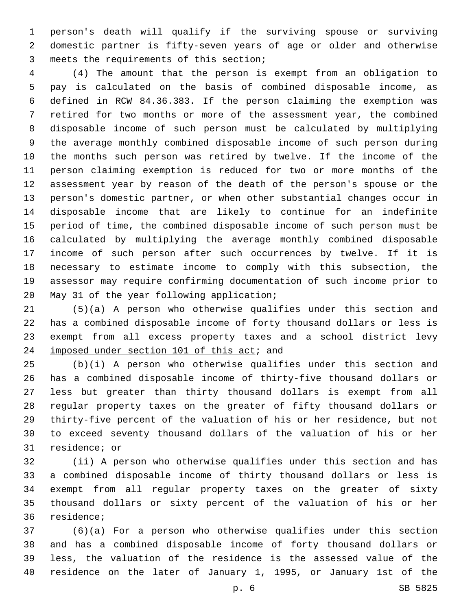person's death will qualify if the surviving spouse or surviving domestic partner is fifty-seven years of age or older and otherwise 3 meets the requirements of this section;

 (4) The amount that the person is exempt from an obligation to pay is calculated on the basis of combined disposable income, as defined in RCW 84.36.383. If the person claiming the exemption was retired for two months or more of the assessment year, the combined disposable income of such person must be calculated by multiplying the average monthly combined disposable income of such person during the months such person was retired by twelve. If the income of the person claiming exemption is reduced for two or more months of the assessment year by reason of the death of the person's spouse or the person's domestic partner, or when other substantial changes occur in disposable income that are likely to continue for an indefinite period of time, the combined disposable income of such person must be calculated by multiplying the average monthly combined disposable income of such person after such occurrences by twelve. If it is necessary to estimate income to comply with this subsection, the assessor may require confirming documentation of such income prior to 20 May 31 of the year following application;

 (5)(a) A person who otherwise qualifies under this section and has a combined disposable income of forty thousand dollars or less is 23 exempt from all excess property taxes and a school district levy 24 imposed under section 101 of this act; and

 (b)(i) A person who otherwise qualifies under this section and has a combined disposable income of thirty-five thousand dollars or less but greater than thirty thousand dollars is exempt from all regular property taxes on the greater of fifty thousand dollars or thirty-five percent of the valuation of his or her residence, but not to exceed seventy thousand dollars of the valuation of his or her 31 residence; or

 (ii) A person who otherwise qualifies under this section and has a combined disposable income of thirty thousand dollars or less is exempt from all regular property taxes on the greater of sixty thousand dollars or sixty percent of the valuation of his or her 36 residence;

 (6)(a) For a person who otherwise qualifies under this section and has a combined disposable income of forty thousand dollars or less, the valuation of the residence is the assessed value of the residence on the later of January 1, 1995, or January 1st of the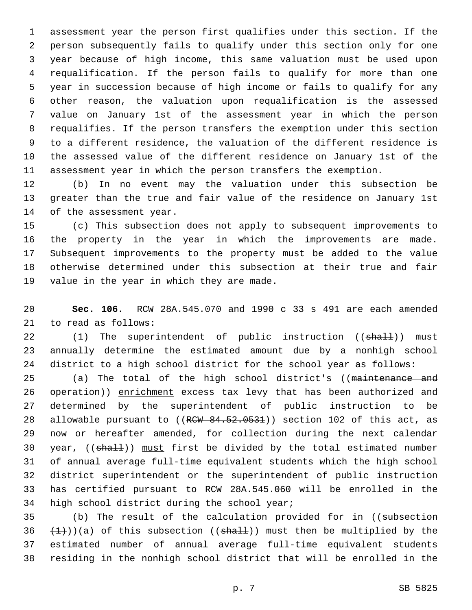assessment year the person first qualifies under this section. If the person subsequently fails to qualify under this section only for one year because of high income, this same valuation must be used upon requalification. If the person fails to qualify for more than one year in succession because of high income or fails to qualify for any other reason, the valuation upon requalification is the assessed value on January 1st of the assessment year in which the person requalifies. If the person transfers the exemption under this section to a different residence, the valuation of the different residence is the assessed value of the different residence on January 1st of the assessment year in which the person transfers the exemption.

 (b) In no event may the valuation under this subsection be greater than the true and fair value of the residence on January 1st 14 of the assessment year.

 (c) This subsection does not apply to subsequent improvements to the property in the year in which the improvements are made. Subsequent improvements to the property must be added to the value otherwise determined under this subsection at their true and fair 19 value in the year in which they are made.

 **Sec. 106.** RCW 28A.545.070 and 1990 c 33 s 491 are each amended 21 to read as follows:

22 (1) The superintendent of public instruction ((shall)) must annually determine the estimated amount due by a nonhigh school district to a high school district for the school year as follows:

25 (a) The total of the high school district's ((maintenance and 26 operation)) enrichment excess tax levy that has been authorized and determined by the superintendent of public instruction to be 28 allowable pursuant to  $((RCW - 84.52.0531))$  section 102 of this act, as now or hereafter amended, for collection during the next calendar 30 year, ((shall)) must first be divided by the total estimated number of annual average full-time equivalent students which the high school district superintendent or the superintendent of public instruction has certified pursuant to RCW 28A.545.060 will be enrolled in the 34 high school district during the school year;

35 (b) The result of the calculation provided for in ((subsection  $(1)$ )(a) of this subsection ((shall)) must then be multiplied by the estimated number of annual average full-time equivalent students residing in the nonhigh school district that will be enrolled in the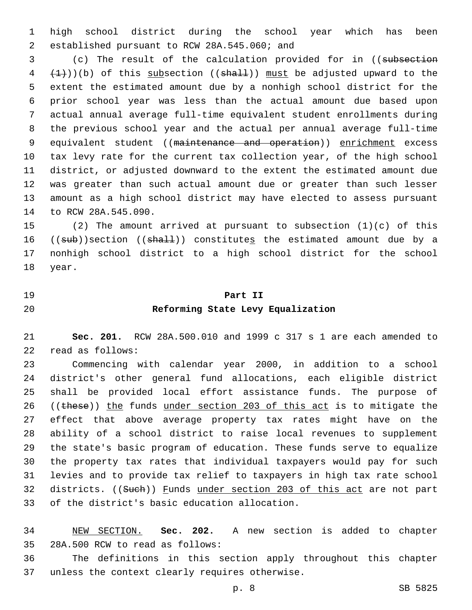high school district during the school year which has been 2 established pursuant to RCW 28A.545.060; and

 (c) The result of the calculation provided for in ((subsection  $(4 + 1)(b)$  of this subsection ((shall)) must be adjusted upward to the extent the estimated amount due by a nonhigh school district for the prior school year was less than the actual amount due based upon actual annual average full-time equivalent student enrollments during the previous school year and the actual per annual average full-time 9 equivalent student ((maintenance and operation)) enrichment excess tax levy rate for the current tax collection year, of the high school district, or adjusted downward to the extent the estimated amount due was greater than such actual amount due or greater than such lesser amount as a high school district may have elected to assess pursuant 14 to RCW 28A.545.090.

 (2) The amount arrived at pursuant to subsection (1)(c) of this 16 ((sub))section ((shall)) constitutes the estimated amount due by a nonhigh school district to a high school district for the school 18 year.

# **Part II Reforming State Levy Equalization**

 **Sec. 201.** RCW 28A.500.010 and 1999 c 317 s 1 are each amended to 22 read as follows:

 Commencing with calendar year 2000, in addition to a school district's other general fund allocations, each eligible district shall be provided local effort assistance funds. The purpose of 26 ((these)) the funds under section 203 of this act is to mitigate the effect that above average property tax rates might have on the ability of a school district to raise local revenues to supplement the state's basic program of education. These funds serve to equalize the property tax rates that individual taxpayers would pay for such levies and to provide tax relief to taxpayers in high tax rate school 32 districts. ((Such)) Funds under section 203 of this act are not part 33 of the district's basic education allocation.

 NEW SECTION. **Sec. 202.** A new section is added to chapter 35 28A.500 RCW to read as follows:

 The definitions in this section apply throughout this chapter 37 unless the context clearly requires otherwise.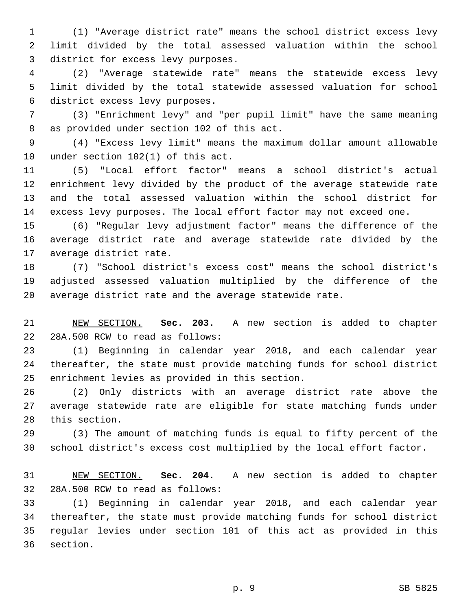(1) "Average district rate" means the school district excess levy limit divided by the total assessed valuation within the school 3 district for excess levy purposes.

 (2) "Average statewide rate" means the statewide excess levy limit divided by the total statewide assessed valuation for school 6 district excess levy purposes.

 (3) "Enrichment levy" and "per pupil limit" have the same meaning 8 as provided under section 102 of this act.

 (4) "Excess levy limit" means the maximum dollar amount allowable 10 under section  $102(1)$  of this act.

 (5) "Local effort factor" means a school district's actual enrichment levy divided by the product of the average statewide rate and the total assessed valuation within the school district for excess levy purposes. The local effort factor may not exceed one.

 (6) "Regular levy adjustment factor" means the difference of the average district rate and average statewide rate divided by the 17 average district rate.

 (7) "School district's excess cost" means the school district's adjusted assessed valuation multiplied by the difference of the average district rate and the average statewide rate.

 NEW SECTION. **Sec. 203.** A new section is added to chapter 22 28A.500 RCW to read as follows:

 (1) Beginning in calendar year 2018, and each calendar year thereafter, the state must provide matching funds for school district 25 enrichment levies as provided in this section.

 (2) Only districts with an average district rate above the average statewide rate are eligible for state matching funds under 28 this section.

 (3) The amount of matching funds is equal to fifty percent of the school district's excess cost multiplied by the local effort factor.

 NEW SECTION. **Sec. 204.** A new section is added to chapter 32 28A.500 RCW to read as follows:

 (1) Beginning in calendar year 2018, and each calendar year thereafter, the state must provide matching funds for school district regular levies under section 101 of this act as provided in this 36 section.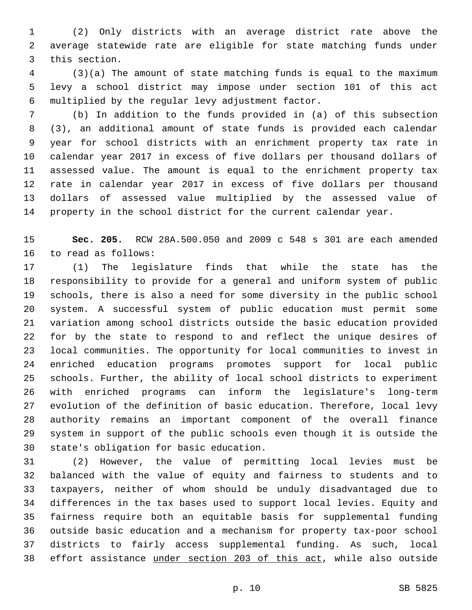(2) Only districts with an average district rate above the average statewide rate are eligible for state matching funds under 3 this section.

 (3)(a) The amount of state matching funds is equal to the maximum levy a school district may impose under section 101 of this act multiplied by the regular levy adjustment factor.6

 (b) In addition to the funds provided in (a) of this subsection (3), an additional amount of state funds is provided each calendar year for school districts with an enrichment property tax rate in calendar year 2017 in excess of five dollars per thousand dollars of assessed value. The amount is equal to the enrichment property tax rate in calendar year 2017 in excess of five dollars per thousand dollars of assessed value multiplied by the assessed value of property in the school district for the current calendar year.

 **Sec. 205.** RCW 28A.500.050 and 2009 c 548 s 301 are each amended 16 to read as follows:

 (1) The legislature finds that while the state has the responsibility to provide for a general and uniform system of public schools, there is also a need for some diversity in the public school system. A successful system of public education must permit some variation among school districts outside the basic education provided for by the state to respond to and reflect the unique desires of local communities. The opportunity for local communities to invest in enriched education programs promotes support for local public schools. Further, the ability of local school districts to experiment with enriched programs can inform the legislature's long-term evolution of the definition of basic education. Therefore, local levy authority remains an important component of the overall finance system in support of the public schools even though it is outside the 30 state's obligation for basic education.

 (2) However, the value of permitting local levies must be balanced with the value of equity and fairness to students and to taxpayers, neither of whom should be unduly disadvantaged due to differences in the tax bases used to support local levies. Equity and fairness require both an equitable basis for supplemental funding outside basic education and a mechanism for property tax-poor school districts to fairly access supplemental funding. As such, local effort assistance under section 203 of this act, while also outside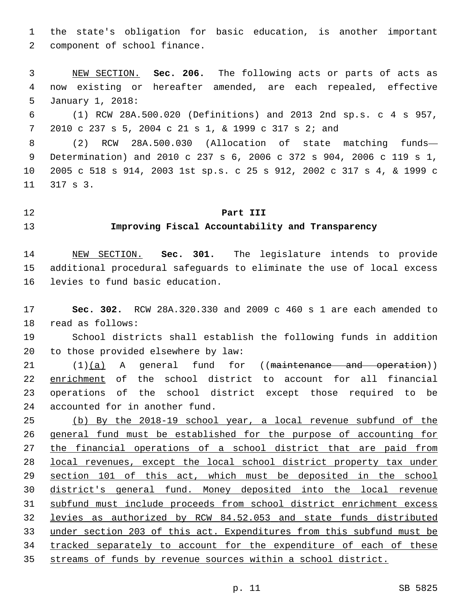the state's obligation for basic education, is another important 2 component of school finance.

 NEW SECTION. **Sec. 206.** The following acts or parts of acts as now existing or hereafter amended, are each repealed, effective January 1, 2018:

 (1) RCW 28A.500.020 (Definitions) and 2013 2nd sp.s. c 4 s 957, 2010 c 237 s 5, 2004 c 21 s 1, & 1999 c 317 s 2; and

 (2) RCW 28A.500.030 (Allocation of state matching funds— Determination) and 2010 c 237 s 6, 2006 c 372 s 904, 2006 c 119 s 1, 2005 c 518 s 914, 2003 1st sp.s. c 25 s 912, 2002 c 317 s 4, & 1999 c 11 317 s 3.

### **Part III**

## **Improving Fiscal Accountability and Transparency**

 NEW SECTION. **Sec. 301.** The legislature intends to provide additional procedural safeguards to eliminate the use of local excess levies to fund basic education.

 **Sec. 302.** RCW 28A.320.330 and 2009 c 460 s 1 are each amended to 18 read as follows:

 School districts shall establish the following funds in addition 20 to those provided elsewhere by law:

 (1)(a) A general fund for ((maintenance and operation)) enrichment of the school district to account for all financial operations of the school district except those required to be 24 accounted for in another fund.

 (b) By the 2018-19 school year, a local revenue subfund of the general fund must be established for the purpose of accounting for the financial operations of a school district that are paid from local revenues, except the local school district property tax under 29 section 101 of this act, which must be deposited in the school district's general fund. Money deposited into the local revenue subfund must include proceeds from school district enrichment excess levies as authorized by RCW 84.52.053 and state funds distributed under section 203 of this act. Expenditures from this subfund must be tracked separately to account for the expenditure of each of these streams of funds by revenue sources within a school district.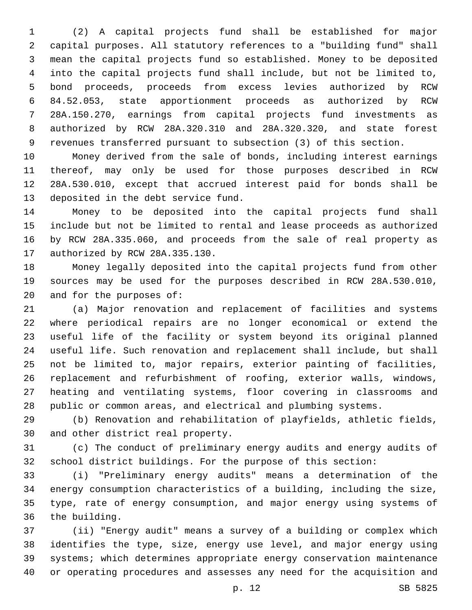(2) A capital projects fund shall be established for major capital purposes. All statutory references to a "building fund" shall mean the capital projects fund so established. Money to be deposited into the capital projects fund shall include, but not be limited to, bond proceeds, proceeds from excess levies authorized by RCW 84.52.053, state apportionment proceeds as authorized by RCW 28A.150.270, earnings from capital projects fund investments as authorized by RCW 28A.320.310 and 28A.320.320, and state forest revenues transferred pursuant to subsection (3) of this section.

 Money derived from the sale of bonds, including interest earnings thereof, may only be used for those purposes described in RCW 28A.530.010, except that accrued interest paid for bonds shall be 13 deposited in the debt service fund.

 Money to be deposited into the capital projects fund shall include but not be limited to rental and lease proceeds as authorized by RCW 28A.335.060, and proceeds from the sale of real property as 17 authorized by RCW 28A.335.130.

 Money legally deposited into the capital projects fund from other sources may be used for the purposes described in RCW 28A.530.010, 20 and for the purposes of:

 (a) Major renovation and replacement of facilities and systems where periodical repairs are no longer economical or extend the useful life of the facility or system beyond its original planned useful life. Such renovation and replacement shall include, but shall not be limited to, major repairs, exterior painting of facilities, replacement and refurbishment of roofing, exterior walls, windows, heating and ventilating systems, floor covering in classrooms and public or common areas, and electrical and plumbing systems.

 (b) Renovation and rehabilitation of playfields, athletic fields, 30 and other district real property.

 (c) The conduct of preliminary energy audits and energy audits of school district buildings. For the purpose of this section:

 (i) "Preliminary energy audits" means a determination of the energy consumption characteristics of a building, including the size, type, rate of energy consumption, and major energy using systems of 36 the building.

 (ii) "Energy audit" means a survey of a building or complex which identifies the type, size, energy use level, and major energy using systems; which determines appropriate energy conservation maintenance or operating procedures and assesses any need for the acquisition and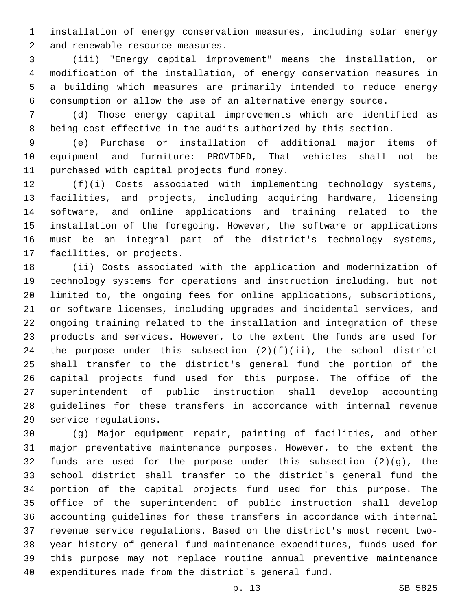installation of energy conservation measures, including solar energy 2 and renewable resource measures.

 (iii) "Energy capital improvement" means the installation, or modification of the installation, of energy conservation measures in a building which measures are primarily intended to reduce energy consumption or allow the use of an alternative energy source.

 (d) Those energy capital improvements which are identified as being cost-effective in the audits authorized by this section.

 (e) Purchase or installation of additional major items of equipment and furniture: PROVIDED, That vehicles shall not be 11 purchased with capital projects fund money.

 (f)(i) Costs associated with implementing technology systems, facilities, and projects, including acquiring hardware, licensing software, and online applications and training related to the installation of the foregoing. However, the software or applications must be an integral part of the district's technology systems, 17 facilities, or projects.

 (ii) Costs associated with the application and modernization of technology systems for operations and instruction including, but not limited to, the ongoing fees for online applications, subscriptions, or software licenses, including upgrades and incidental services, and ongoing training related to the installation and integration of these products and services. However, to the extent the funds are used for 24 the purpose under this subsection  $(2)(f)(ii)$ , the school district shall transfer to the district's general fund the portion of the capital projects fund used for this purpose. The office of the superintendent of public instruction shall develop accounting guidelines for these transfers in accordance with internal revenue 29 service requlations.

 (g) Major equipment repair, painting of facilities, and other major preventative maintenance purposes. However, to the extent the funds are used for the purpose under this subsection (2)(g), the school district shall transfer to the district's general fund the portion of the capital projects fund used for this purpose. The office of the superintendent of public instruction shall develop accounting guidelines for these transfers in accordance with internal revenue service regulations. Based on the district's most recent two- year history of general fund maintenance expenditures, funds used for this purpose may not replace routine annual preventive maintenance expenditures made from the district's general fund.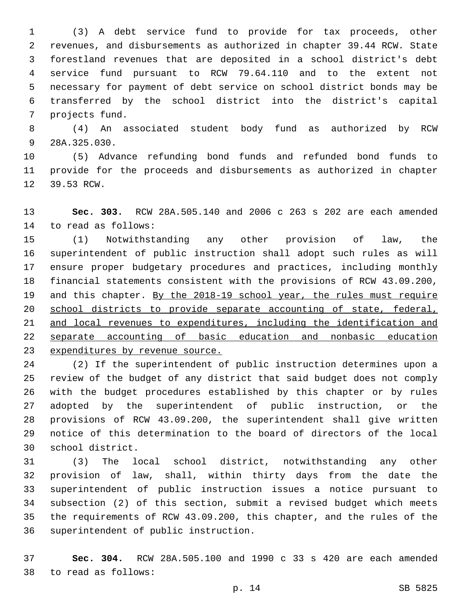(3) A debt service fund to provide for tax proceeds, other revenues, and disbursements as authorized in chapter 39.44 RCW. State forestland revenues that are deposited in a school district's debt service fund pursuant to RCW 79.64.110 and to the extent not necessary for payment of debt service on school district bonds may be transferred by the school district into the district's capital 7 projects fund.

 (4) An associated student body fund as authorized by RCW 9 28A.325.030.

 (5) Advance refunding bond funds and refunded bond funds to provide for the proceeds and disbursements as authorized in chapter 12 39.53 RCW.

 **Sec. 303.** RCW 28A.505.140 and 2006 c 263 s 202 are each amended 14 to read as follows:

 (1) Notwithstanding any other provision of law, the superintendent of public instruction shall adopt such rules as will ensure proper budgetary procedures and practices, including monthly financial statements consistent with the provisions of RCW 43.09.200, 19 and this chapter. By the 2018-19 school year, the rules must require school districts to provide separate accounting of state, federal, and local revenues to expenditures, including the identification and separate accounting of basic education and nonbasic education 23 expenditures by revenue source.

 (2) If the superintendent of public instruction determines upon a review of the budget of any district that said budget does not comply with the budget procedures established by this chapter or by rules adopted by the superintendent of public instruction, or the provisions of RCW 43.09.200, the superintendent shall give written notice of this determination to the board of directors of the local 30 school district.

 (3) The local school district, notwithstanding any other provision of law, shall, within thirty days from the date the superintendent of public instruction issues a notice pursuant to subsection (2) of this section, submit a revised budget which meets the requirements of RCW 43.09.200, this chapter, and the rules of the 36 superintendent of public instruction.

 **Sec. 304.** RCW 28A.505.100 and 1990 c 33 s 420 are each amended to read as follows:38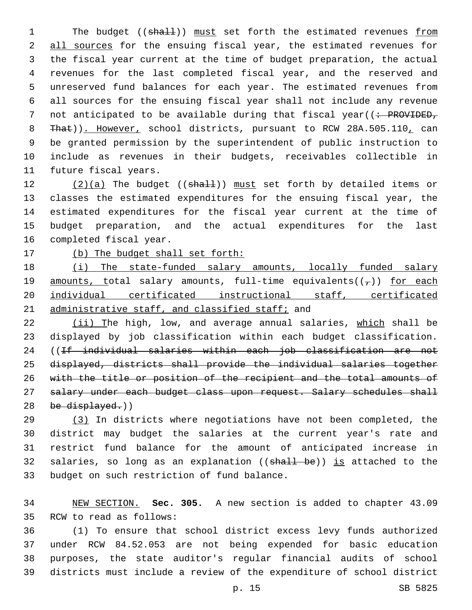1 The budget ((shall)) must set forth the estimated revenues from 2 all sources for the ensuing fiscal year, the estimated revenues for 3 the fiscal year current at the time of budget preparation, the actual 4 revenues for the last completed fiscal year, and the reserved and 5 unreserved fund balances for each year. The estimated revenues from 6 all sources for the ensuing fiscal year shall not include any revenue 7 not anticipated to be available during that fiscal year((: PROVIDED, 8 That)). However, school districts, pursuant to RCW 28A.505.110, can 9 be granted permission by the superintendent of public instruction to 10 include as revenues in their budgets, receivables collectible in 11 future fiscal years.

 $(2)(a)$  The budget ((shall)) must set forth by detailed items or classes the estimated expenditures for the ensuing fiscal year, the estimated expenditures for the fiscal year current at the time of budget preparation, and the actual expenditures for the last 16 completed fiscal year.

17 (b) The budget shall set forth:

18 (i) The state-funded salary amounts, locally funded salary 19 amounts, total salary amounts, full-time equivalents( $(\tau)$ ) for each 20 individual certificated instructional staff, certificated 21 administrative staff, and classified staff; and

 (ii) The high, low, and average annual salaries, which shall be displayed by job classification within each budget classification. 24 ((If individual salaries within each job classification are not displayed, districts shall provide the individual salaries together with the title or position of the recipient and the total amounts of 27 salary under each budget class upon request. Salary schedules shall be displayed.)

29 (3) In districts where negotiations have not been completed, the 30 district may budget the salaries at the current year's rate and 31 restrict fund balance for the amount of anticipated increase in 32 salaries, so long as an explanation ((shall be)) is attached to the 33 budget on such restriction of fund balance.

34 NEW SECTION. **Sec. 305.** A new section is added to chapter 43.09 35 RCW to read as follows:

 (1) To ensure that school district excess levy funds authorized under RCW 84.52.053 are not being expended for basic education purposes, the state auditor's regular financial audits of school districts must include a review of the expenditure of school district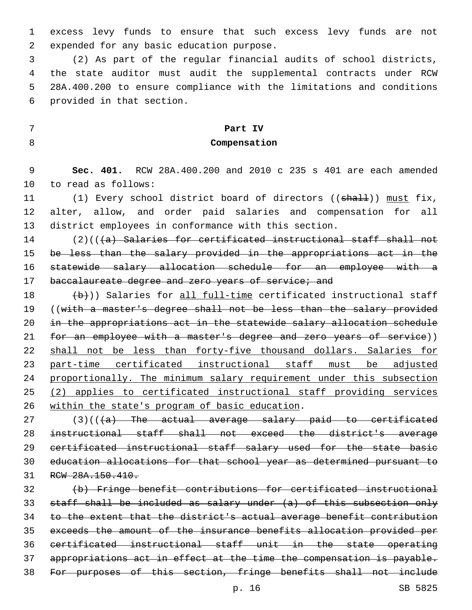excess levy funds to ensure that such excess levy funds are not 2 expended for any basic education purpose.

 (2) As part of the regular financial audits of school districts, the state auditor must audit the supplemental contracts under RCW 28A.400.200 to ensure compliance with the limitations and conditions 6 provided in that section.

# **Part IV Compensation**

 **Sec. 401.** RCW 28A.400.200 and 2010 c 235 s 401 are each amended 10 to read as follows:

11 (1) Every school district board of directors ((shall)) must fix, alter, allow, and order paid salaries and compensation for all district employees in conformance with this section.

14 (2)(((a) Salaries for certificated instructional staff shall not be less than the salary provided in the appropriations act in the statewide salary allocation schedule for an employee with a 17 baccalaureate degree and zero years of service; and

 $\{\uparrow\downarrow\downarrow\}$ )) Salaries for all full-time certificated instructional staff 19 ((with a master's degree shall not be less than the salary provided in the appropriations act in the statewide salary allocation schedule 21 for an employee with a master's degree and zero years of service)) shall not be less than forty-five thousand dollars. Salaries for part-time certificated instructional staff must be adjusted proportionally. The minimum salary requirement under this subsection (2) applies to certificated instructional staff providing services 26 within the state's program of basic education.

 (3)(( $\overline{a}$ ) The actual average salary paid to certificated instructional staff shall not exceed the district's average certificated instructional staff salary used for the state basic education allocations for that school year as determined pursuant to RCW 28A.150.410.

 (b) Fringe benefit contributions for certificated instructional staff shall be included as salary under (a) of this subsection only to the extent that the district's actual average benefit contribution exceeds the amount of the insurance benefits allocation provided per certificated instructional staff unit in the state operating appropriations act in effect at the time the compensation is payable. For purposes of this section, fringe benefits shall not include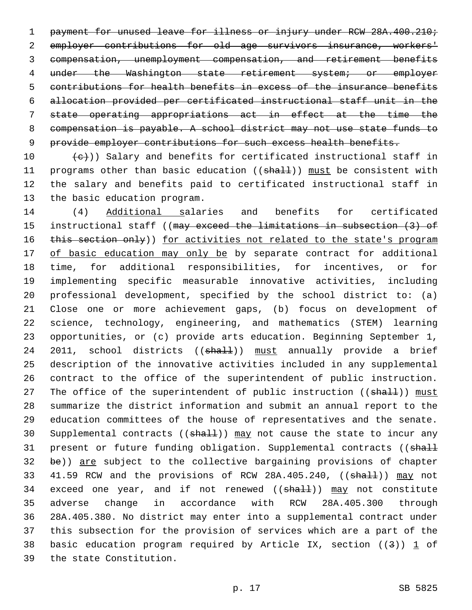1 payment for unused leave for illness or injury under RCW 28A.400.210; employer contributions for old age survivors insurance, workers' compensation, unemployment compensation, and retirement benefits under the Washington state retirement system; or employer contributions for health benefits in excess of the insurance benefits allocation provided per certificated instructional staff unit in the state operating appropriations act in effect at the time the compensation is payable. A school district may not use state funds to 9 provide employer contributions for such excess health benefits.

10  $(e)$ )) Salary and benefits for certificated instructional staff in 11 programs other than basic education ((shall)) must be consistent with 12 the salary and benefits paid to certificated instructional staff in 13 the basic education program.

14 (4) Additional salaries and benefits for certificated 15 instructional staff ((may exceed the limitations in subsection (3) of 16 this section only)) for activities not related to the state's program 17 of basic education may only be by separate contract for additional 18 time, for additional responsibilities, for incentives, or for 19 implementing specific measurable innovative activities, including 20 professional development, specified by the school district to: (a) 21 Close one or more achievement gaps, (b) focus on development of 22 science, technology, engineering, and mathematics (STEM) learning 23 opportunities, or (c) provide arts education. Beginning September 1, 24 2011, school districts ((shall)) must annually provide a brief 25 description of the innovative activities included in any supplemental 26 contract to the office of the superintendent of public instruction. 27 The office of the superintendent of public instruction ((shall)) must 28 summarize the district information and submit an annual report to the 29 education committees of the house of representatives and the senate. 30 Supplemental contracts ((shall)) may not cause the state to incur any 31 present or future funding obligation. Supplemental contracts ((shall 32 be)) are subject to the collective bargaining provisions of chapter 33 41.59 RCW and the provisions of RCW 28A.405.240, ((shall)) may not 34 exceed one year, and if not renewed ((shall)) may not constitute 35 adverse change in accordance with RCW 28A.405.300 through 36 28A.405.380. No district may enter into a supplemental contract under 37 this subsection for the provision of services which are a part of the 38 basic education program required by Article IX, section ( $(3)$ ) 1 of 39 the state Constitution.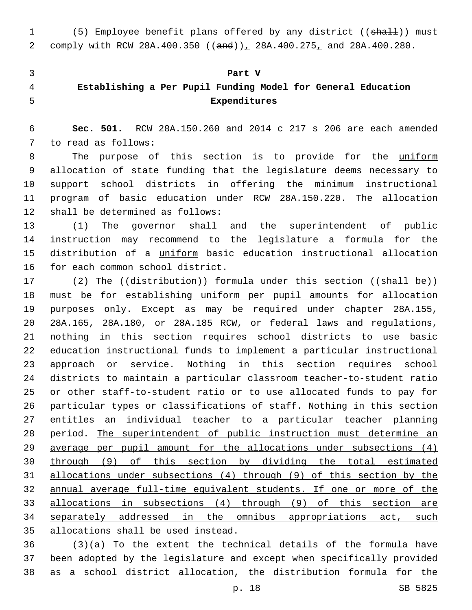1 (5) Employee benefit plans offered by any district ((shall)) must 2 comply with RCW 28A.400.350 ((and)), 28A.400.275, and 28A.400.280.

#### **Part V**

# **Establishing a Per Pupil Funding Model for General Education Expenditures**

 **Sec. 501.** RCW 28A.150.260 and 2014 c 217 s 206 are each amended 7 to read as follows:

8 The purpose of this section is to provide for the uniform allocation of state funding that the legislature deems necessary to support school districts in offering the minimum instructional program of basic education under RCW 28A.150.220. The allocation 12 shall be determined as follows:

 (1) The governor shall and the superintendent of public instruction may recommend to the legislature a formula for the distribution of a uniform basic education instructional allocation 16 for each common school district.

17 (2) The ((distribution)) formula under this section ((shall be)) must be for establishing uniform per pupil amounts for allocation purposes only. Except as may be required under chapter 28A.155, 28A.165, 28A.180, or 28A.185 RCW, or federal laws and regulations, nothing in this section requires school districts to use basic education instructional funds to implement a particular instructional approach or service. Nothing in this section requires school districts to maintain a particular classroom teacher-to-student ratio or other staff-to-student ratio or to use allocated funds to pay for particular types or classifications of staff. Nothing in this section entitles an individual teacher to a particular teacher planning period. The superintendent of public instruction must determine an average per pupil amount for the allocations under subsections (4) through (9) of this section by dividing the total estimated allocations under subsections (4) through (9) of this section by the annual average full-time equivalent students. If one or more of the allocations in subsections (4) through (9) of this section are 34 separately addressed in the omnibus appropriations act, such allocations shall be used instead.

 (3)(a) To the extent the technical details of the formula have been adopted by the legislature and except when specifically provided as a school district allocation, the distribution formula for the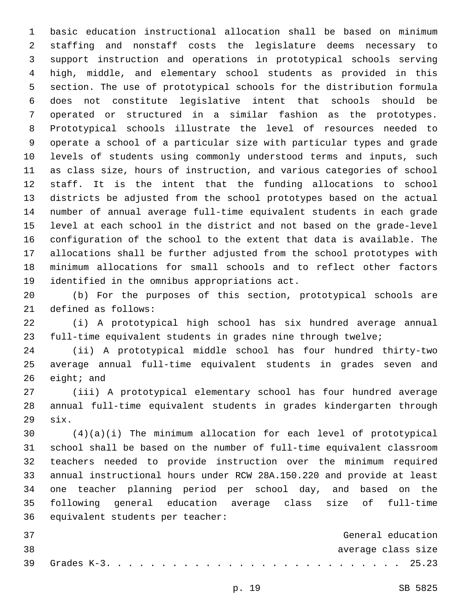basic education instructional allocation shall be based on minimum staffing and nonstaff costs the legislature deems necessary to support instruction and operations in prototypical schools serving high, middle, and elementary school students as provided in this section. The use of prototypical schools for the distribution formula does not constitute legislative intent that schools should be operated or structured in a similar fashion as the prototypes. Prototypical schools illustrate the level of resources needed to operate a school of a particular size with particular types and grade levels of students using commonly understood terms and inputs, such as class size, hours of instruction, and various categories of school staff. It is the intent that the funding allocations to school districts be adjusted from the school prototypes based on the actual number of annual average full-time equivalent students in each grade level at each school in the district and not based on the grade-level configuration of the school to the extent that data is available. The allocations shall be further adjusted from the school prototypes with minimum allocations for small schools and to reflect other factors 19 identified in the omnibus appropriations act.

 (b) For the purposes of this section, prototypical schools are 21 defined as follows:

 (i) A prototypical high school has six hundred average annual full-time equivalent students in grades nine through twelve;

 (ii) A prototypical middle school has four hundred thirty-two average annual full-time equivalent students in grades seven and eight; and

 (iii) A prototypical elementary school has four hundred average annual full-time equivalent students in grades kindergarten through  $six.$ 

 (4)(a)(i) The minimum allocation for each level of prototypical school shall be based on the number of full-time equivalent classroom teachers needed to provide instruction over the minimum required annual instructional hours under RCW 28A.150.220 and provide at least one teacher planning period per school day, and based on the following general education average class size of full-time 36 equivalent students per teacher:

| - 37 |  |  |  |  |  |  |  |  |  |  |  |  |  | General education  |
|------|--|--|--|--|--|--|--|--|--|--|--|--|--|--------------------|
| 38   |  |  |  |  |  |  |  |  |  |  |  |  |  | average class size |
|      |  |  |  |  |  |  |  |  |  |  |  |  |  |                    |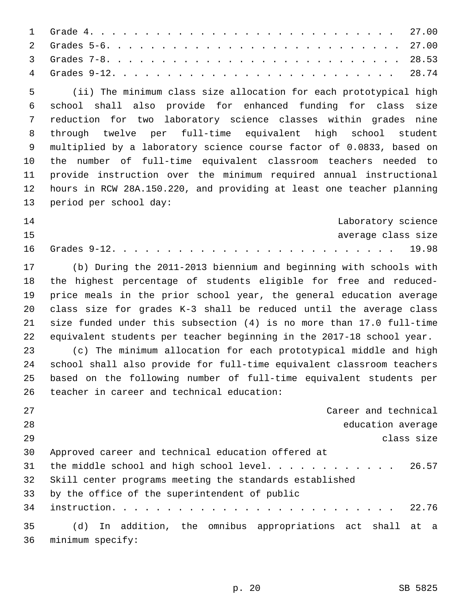(ii) The minimum class size allocation for each prototypical high school shall also provide for enhanced funding for class size reduction for two laboratory science classes within grades nine through twelve per full-time equivalent high school student multiplied by a laboratory science course factor of 0.0833, based on the number of full-time equivalent classroom teachers needed to provide instruction over the minimum required annual instructional hours in RCW 28A.150.220, and providing at least one teacher planning 13 period per school day:

| 14 |  |  |  |  |  |  |  |  |  |  |  |  |  | Laboratory science |
|----|--|--|--|--|--|--|--|--|--|--|--|--|--|--------------------|
| 15 |  |  |  |  |  |  |  |  |  |  |  |  |  | average class size |
|    |  |  |  |  |  |  |  |  |  |  |  |  |  |                    |

 (b) During the 2011-2013 biennium and beginning with schools with the highest percentage of students eligible for free and reduced- price meals in the prior school year, the general education average class size for grades K-3 shall be reduced until the average class size funded under this subsection (4) is no more than 17.0 full-time equivalent students per teacher beginning in the 2017-18 school year.

 (c) The minimum allocation for each prototypical middle and high school shall also provide for full-time equivalent classroom teachers based on the following number of full-time equivalent students per 26 teacher in career and technical education:

| 27 | Career and technical                                       |            |
|----|------------------------------------------------------------|------------|
| 28 | education average                                          |            |
| 29 |                                                            | class size |
| 30 | Approved career and technical education offered at         |            |
| 31 | the middle school and high school level 26.57              |            |
| 32 | Skill center programs meeting the standards established    |            |
| 33 | by the office of the superintendent of public              |            |
| 34 |                                                            |            |
| 35 | (d) In addition, the omnibus appropriations act shall at a |            |
| 36 | minimum specify:                                           |            |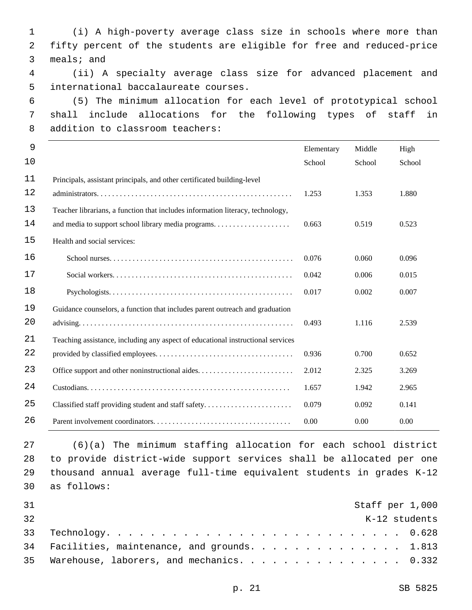1 (i) A high-poverty average class size in schools where more than 2 fifty percent of the students are eligible for free and reduced-price 3 meals; and 4 (ii) A specialty average class size for advanced placement and 5 international baccalaureate courses. 6 (5) The minimum allocation for each level of prototypical school 7 shall include allocations for the following types of staff in 8 addition to classroom teachers: 9 10 Elementary School Middle School High School 11 12 Principals, assistant principals, and other certificated building-level administrators. . . . . . . . . . . . . . . . . . . . . . . . . . . . . . . . . . . . . . . . . . . . . . . . . . . 1.253 1.353 1.880 13 14 Teacher librarians, a function that includes information literacy, technology, and media to support school library media programs. . . . . . . . . . . . . . . . . . . . 0.663 0.519 0.523 15 Health and social services: 16 School nurses. . . . . . . . . . . . . . . . . . . . . . . . . . . . . . . . . . . . . . . . . . . . . . . . 0.076 0.060 0.096 17 Social workers. . . . . . . . . . . . . . . . . . . . . . . . . . . . . . . . . . . . . . . . . . . . . . . 0.042 0.006 0.015 18 Psychologists. . . . . . . . . . . . . . . . . . . . . . . . . . . . . . . . . . . . . . . . . . . . . . . . 0.017 0.002 0.007 19 20 Guidance counselors, a function that includes parent outreach and graduation advising. . . . . . . . . . . . . . . . . . . . . . . . . . . . . . . . . . . . . . . . . . . . . . . . . . . . . . . . 0.493 1.116 2.539 21 22 Teaching assistance, including any aspect of educational instructional services provided by classified employees. . . . . . . . . . . . . . . . . . . . . . . . . . . . . . . . . . . . 0.936 0.700 0.652 23 Office support and other noninstructional aides. . . . . . . . . . . . . . . . . . . . . . . . . 2.012 2.325 3.269 24 Custodians. . . . . . . . . . . . . . . . . . . . . . . . . . . . . . . . . . . . . . . . . . . . . . . . . . . . . 1.657 1.942 2.965 25 Classified staff providing student and staff safety. . . . . . . . . . . . . . . . . . . . . . . 0.079 0.092 0.141 26 Parent involvement coordinators. . . . . . . . . . . . . . . . . . . . . . . . . . . . . . . . . . . . 0.00 0.00 0.00

 (6)(a) The minimum staffing allocation for each school district to provide district-wide support services shall be allocated per one thousand annual average full-time equivalent students in grades K-12 as follows:30

| 31 |                                               |  |  | Staff per 1,000 |
|----|-----------------------------------------------|--|--|-----------------|
| 32 |                                               |  |  | K-12 students   |
|    |                                               |  |  |                 |
|    | 34 Facilities, maintenance, and grounds 1.813 |  |  |                 |
|    | 35 Warehouse, laborers, and mechanics. 0.332  |  |  |                 |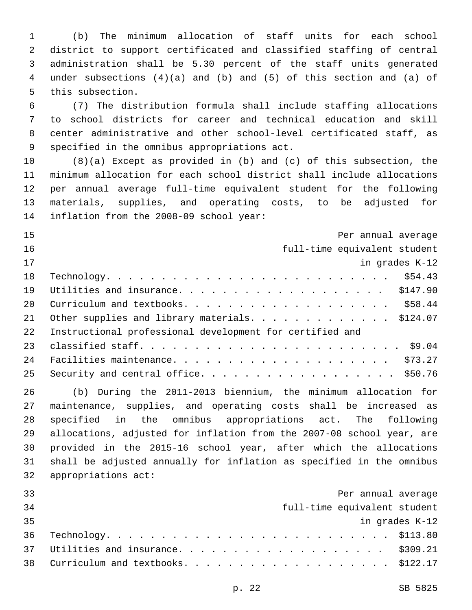(b) The minimum allocation of staff units for each school district to support certificated and classified staffing of central administration shall be 5.30 percent of the staff units generated under subsections (4)(a) and (b) and (5) of this section and (a) of 5 this subsection.

 (7) The distribution formula shall include staffing allocations to school districts for career and technical education and skill center administrative and other school-level certificated staff, as 9 specified in the omnibus appropriations act.

 (8)(a) Except as provided in (b) and (c) of this subsection, the minimum allocation for each school district shall include allocations per annual average full-time equivalent student for the following materials, supplies, and operating costs, to be adjusted for 14 inflation from the 2008-09 school year:

| 15 | Per annual average                                       |
|----|----------------------------------------------------------|
| 16 | full-time equivalent student                             |
| 17 | in grades K-12                                           |
| 18 |                                                          |
| 19 |                                                          |
| 20 |                                                          |
| 21 | Other supplies and library materials. \$124.07           |
| 22 | Instructional professional development for certified and |
| 23 |                                                          |
| 24 |                                                          |
| 25 | Security and central office. \$50.76                     |

 (b) During the 2011-2013 biennium, the minimum allocation for maintenance, supplies, and operating costs shall be increased as specified in the omnibus appropriations act. The following allocations, adjusted for inflation from the 2007-08 school year, are provided in the 2015-16 school year, after which the allocations shall be adjusted annually for inflation as specified in the omnibus 32 appropriations act:

| 33 | Per annual average                    |
|----|---------------------------------------|
| 34 | full-time equivalent student          |
| 35 | in grades K-12                        |
|    |                                       |
|    | 37 Utilities and insurance. \$309.21  |
|    | 38 Curriculum and textbooks. \$122.17 |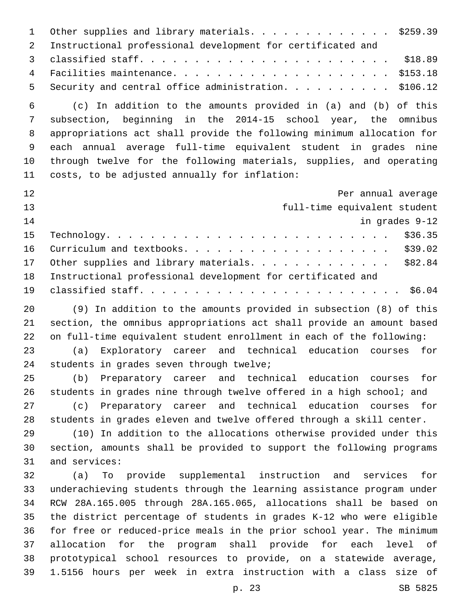1 Other supplies and library materials. . . . . . . . . . . . . \$259.39 Instructional professional development for certificated and classified staff. . . . . . . . . . . . . . . . . . . . . . . \$18.89 Facilities maintenance. . . . . . . . . . . . . . . . . . . . \$153.18 Security and central office administration. . . . . . . . . . \$106.12 (c) In addition to the amounts provided in (a) and (b) of this subsection, beginning in the 2014-15 school year, the omnibus appropriations act shall provide the following minimum allocation for each annual average full-time equivalent student in grades nine through twelve for the following materials, supplies, and operating 11 costs, to be adjusted annually for inflation: Per annual average full-time equivalent student in grades 9-12 Technology. . . . . . . . . . . . . . . . . . . . . . . . . . \$36.35 Curriculum and textbooks. . . . . . . . . . . . . . . . . . . \$39.02 17 Other supplies and library materials. . . . . . . . . . . . . \$82.84 Instructional professional development for certificated and classified staff. . . . . . . . . . . . . . . . . . . . . . . . \$6.04 (9) In addition to the amounts provided in subsection (8) of this section, the omnibus appropriations act shall provide an amount based on full-time equivalent student enrollment in each of the following: (a) Exploratory career and technical education courses for 24 students in grades seven through twelve; (b) Preparatory career and technical education courses for students in grades nine through twelve offered in a high school; and (c) Preparatory career and technical education courses for students in grades eleven and twelve offered through a skill center. (10) In addition to the allocations otherwise provided under this section, amounts shall be provided to support the following programs 31 and services: (a) To provide supplemental instruction and services for underachieving students through the learning assistance program under RCW 28A.165.005 through 28A.165.065, allocations shall be based on the district percentage of students in grades K-12 who were eligible for free or reduced-price meals in the prior school year. The minimum allocation for the program shall provide for each level of prototypical school resources to provide, on a statewide average, 1.5156 hours per week in extra instruction with a class size of

p. 23 SB 5825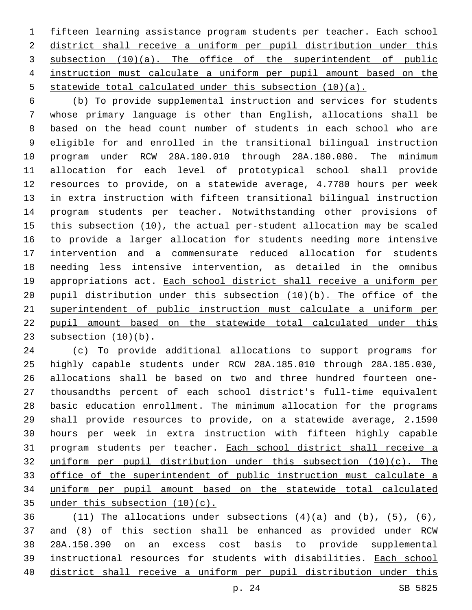fifteen learning assistance program students per teacher. Each school district shall receive a uniform per pupil distribution under this subsection (10)(a). The office of the superintendent of public instruction must calculate a uniform per pupil amount based on the statewide total calculated under this subsection (10)(a).

 (b) To provide supplemental instruction and services for students whose primary language is other than English, allocations shall be based on the head count number of students in each school who are eligible for and enrolled in the transitional bilingual instruction program under RCW 28A.180.010 through 28A.180.080. The minimum allocation for each level of prototypical school shall provide resources to provide, on a statewide average, 4.7780 hours per week in extra instruction with fifteen transitional bilingual instruction program students per teacher. Notwithstanding other provisions of this subsection (10), the actual per-student allocation may be scaled to provide a larger allocation for students needing more intensive intervention and a commensurate reduced allocation for students needing less intensive intervention, as detailed in the omnibus 19 appropriations act. Each school district shall receive a uniform per pupil distribution under this subsection (10)(b). The office of the superintendent of public instruction must calculate a uniform per pupil amount based on the statewide total calculated under this 23 subsection (10)(b).

 (c) To provide additional allocations to support programs for highly capable students under RCW 28A.185.010 through 28A.185.030, allocations shall be based on two and three hundred fourteen one- thousandths percent of each school district's full-time equivalent basic education enrollment. The minimum allocation for the programs shall provide resources to provide, on a statewide average, 2.1590 hours per week in extra instruction with fifteen highly capable program students per teacher. Each school district shall receive a uniform per pupil distribution under this subsection (10)(c). The office of the superintendent of public instruction must calculate a uniform per pupil amount based on the statewide total calculated under this subsection (10)(c).

 $(11)$  The allocations under subsections  $(4)(a)$  and  $(b)$ ,  $(5)$ ,  $(6)$ , and (8) of this section shall be enhanced as provided under RCW 28A.150.390 on an excess cost basis to provide supplemental instructional resources for students with disabilities. Each school district shall receive a uniform per pupil distribution under this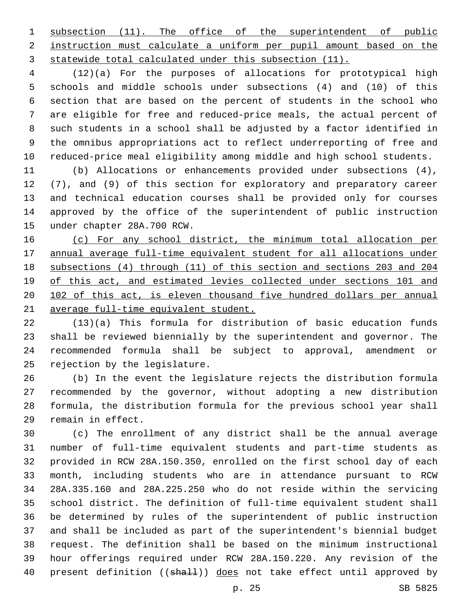subsection (11). The office of the superintendent of public instruction must calculate a uniform per pupil amount based on the statewide total calculated under this subsection (11).

 (12)(a) For the purposes of allocations for prototypical high schools and middle schools under subsections (4) and (10) of this section that are based on the percent of students in the school who are eligible for free and reduced-price meals, the actual percent of such students in a school shall be adjusted by a factor identified in the omnibus appropriations act to reflect underreporting of free and reduced-price meal eligibility among middle and high school students.

 (b) Allocations or enhancements provided under subsections (4), (7), and (9) of this section for exploratory and preparatory career and technical education courses shall be provided only for courses approved by the office of the superintendent of public instruction 15 under chapter 28A.700 RCW.

 (c) For any school district, the minimum total allocation per annual average full-time equivalent student for all allocations under subsections (4) through (11) of this section and sections 203 and 204 of this act, and estimated levies collected under sections 101 and 102 of this act, is eleven thousand five hundred dollars per annual average full-time equivalent student.

 (13)(a) This formula for distribution of basic education funds shall be reviewed biennially by the superintendent and governor. The recommended formula shall be subject to approval, amendment or 25 rejection by the legislature.

 (b) In the event the legislature rejects the distribution formula recommended by the governor, without adopting a new distribution formula, the distribution formula for the previous school year shall 29 remain in effect.

 (c) The enrollment of any district shall be the annual average number of full-time equivalent students and part-time students as provided in RCW 28A.150.350, enrolled on the first school day of each month, including students who are in attendance pursuant to RCW 28A.335.160 and 28A.225.250 who do not reside within the servicing school district. The definition of full-time equivalent student shall be determined by rules of the superintendent of public instruction and shall be included as part of the superintendent's biennial budget request. The definition shall be based on the minimum instructional hour offerings required under RCW 28A.150.220. Any revision of the 40 present definition ((shall)) does not take effect until approved by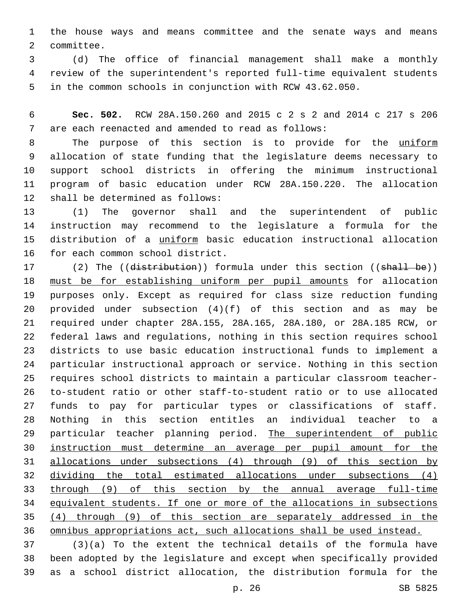the house ways and means committee and the senate ways and means 2 committee.

 (d) The office of financial management shall make a monthly review of the superintendent's reported full-time equivalent students in the common schools in conjunction with RCW 43.62.050.

 **Sec. 502.** RCW 28A.150.260 and 2015 c 2 s 2 and 2014 c 217 s 206 are each reenacted and amended to read as follows:7

8 The purpose of this section is to provide for the uniform allocation of state funding that the legislature deems necessary to support school districts in offering the minimum instructional program of basic education under RCW 28A.150.220. The allocation 12 shall be determined as follows:

 (1) The governor shall and the superintendent of public instruction may recommend to the legislature a formula for the distribution of a uniform basic education instructional allocation 16 for each common school district.

17 (2) The ((distribution)) formula under this section ((shall be)) must be for establishing uniform per pupil amounts for allocation purposes only. Except as required for class size reduction funding provided under subsection (4)(f) of this section and as may be required under chapter 28A.155, 28A.165, 28A.180, or 28A.185 RCW, or federal laws and regulations, nothing in this section requires school districts to use basic education instructional funds to implement a particular instructional approach or service. Nothing in this section requires school districts to maintain a particular classroom teacher- to-student ratio or other staff-to-student ratio or to use allocated funds to pay for particular types or classifications of staff. Nothing in this section entitles an individual teacher to a 29 particular teacher planning period. The superintendent of public instruction must determine an average per pupil amount for the allocations under subsections (4) through (9) of this section by dividing the total estimated allocations under subsections (4) through (9) of this section by the annual average full-time equivalent students. If one or more of the allocations in subsections (4) through (9) of this section are separately addressed in the omnibus appropriations act, such allocations shall be used instead.

 (3)(a) To the extent the technical details of the formula have been adopted by the legislature and except when specifically provided as a school district allocation, the distribution formula for the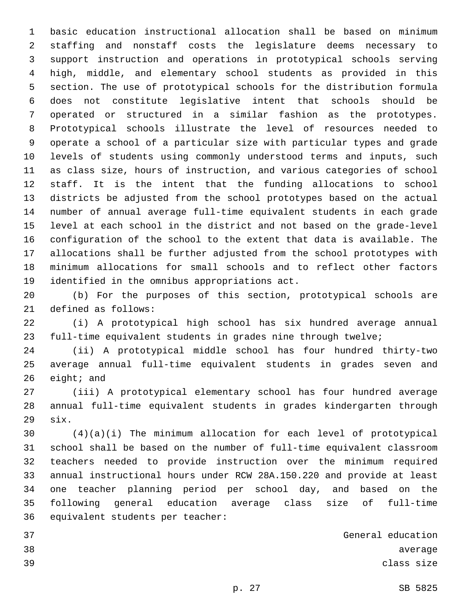basic education instructional allocation shall be based on minimum staffing and nonstaff costs the legislature deems necessary to support instruction and operations in prototypical schools serving high, middle, and elementary school students as provided in this section. The use of prototypical schools for the distribution formula does not constitute legislative intent that schools should be operated or structured in a similar fashion as the prototypes. Prototypical schools illustrate the level of resources needed to operate a school of a particular size with particular types and grade levels of students using commonly understood terms and inputs, such as class size, hours of instruction, and various categories of school staff. It is the intent that the funding allocations to school districts be adjusted from the school prototypes based on the actual number of annual average full-time equivalent students in each grade level at each school in the district and not based on the grade-level configuration of the school to the extent that data is available. The allocations shall be further adjusted from the school prototypes with minimum allocations for small schools and to reflect other factors 19 identified in the omnibus appropriations act.

 (b) For the purposes of this section, prototypical schools are 21 defined as follows:

 (i) A prototypical high school has six hundred average annual full-time equivalent students in grades nine through twelve;

 (ii) A prototypical middle school has four hundred thirty-two average annual full-time equivalent students in grades seven and eight; and

 (iii) A prototypical elementary school has four hundred average annual full-time equivalent students in grades kindergarten through  $six.$ 

 (4)(a)(i) The minimum allocation for each level of prototypical school shall be based on the number of full-time equivalent classroom teachers needed to provide instruction over the minimum required annual instructional hours under RCW 28A.150.220 and provide at least one teacher planning period per school day, and based on the following general education average class size of full-time 36 equivalent students per teacher:

 General education 38 average states of the state of the state of the state of the state of the state of the state of the state of the state of the state of the state of the state of the state of the state of the state of the state of the st class size

- 
-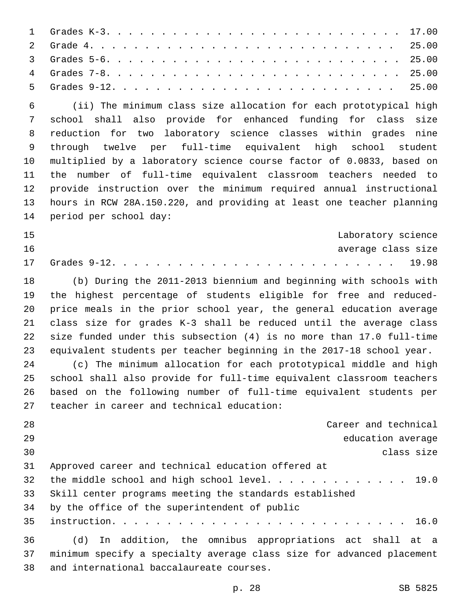| 6 (ii) The minimum class size allocation for each prototypical high |  |
|---------------------------------------------------------------------|--|
|                                                                     |  |

 school shall also provide for enhanced funding for class size reduction for two laboratory science classes within grades nine through twelve per full-time equivalent high school student multiplied by a laboratory science course factor of 0.0833, based on the number of full-time equivalent classroom teachers needed to provide instruction over the minimum required annual instructional hours in RCW 28A.150.220, and providing at least one teacher planning 14 period per school day:

| 15 |  |  |  |  |  |  |  |  |  |  | Laboratory science |
|----|--|--|--|--|--|--|--|--|--|--|--------------------|
| 16 |  |  |  |  |  |  |  |  |  |  | average class size |
|    |  |  |  |  |  |  |  |  |  |  |                    |

 (b) During the 2011-2013 biennium and beginning with schools with the highest percentage of students eligible for free and reduced- price meals in the prior school year, the general education average class size for grades K-3 shall be reduced until the average class size funded under this subsection (4) is no more than 17.0 full-time equivalent students per teacher beginning in the 2017-18 school year.

 (c) The minimum allocation for each prototypical middle and high school shall also provide for full-time equivalent classroom teachers based on the following number of full-time equivalent students per 27 teacher in career and technical education:

 Career and technical education average class size Approved career and technical education offered at 32 the middle school and high school level. . . . . . . . . . . . 19.0 Skill center programs meeting the standards established 34 by the office of the superintendent of public instruction. . . . . . . . . . . . . . . . . . . . . . . . . . . 16.0 (d) In addition, the omnibus appropriations act shall at a minimum specify a specialty average class size for advanced placement

38 and international baccalaureate courses.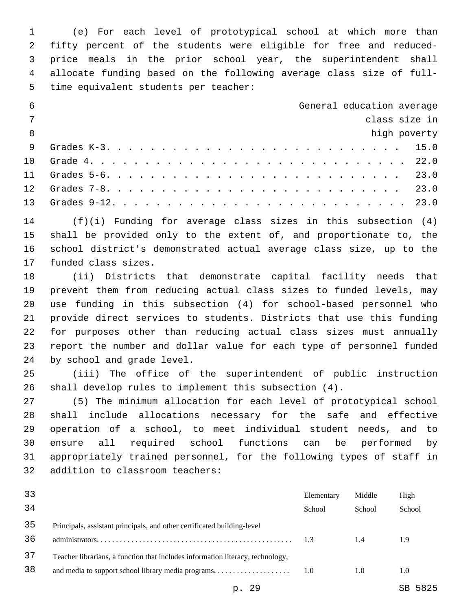(e) For each level of prototypical school at which more than fifty percent of the students were eligible for free and reduced- price meals in the prior school year, the superintendent shall allocate funding based on the following average class size of full-5 time equivalent students per teacher:

| - 6             | General education average |  |
|-----------------|---------------------------|--|
| $\overline{7}$  | class size in             |  |
| 8               | high poverty              |  |
| 9               |                           |  |
| 1 O             |                           |  |
|                 |                           |  |
| 12 <sub>1</sub> |                           |  |
|                 |                           |  |
|                 |                           |  |

 (f)(i) Funding for average class sizes in this subsection (4) shall be provided only to the extent of, and proportionate to, the school district's demonstrated actual average class size, up to the 17 funded class sizes.

 (ii) Districts that demonstrate capital facility needs that prevent them from reducing actual class sizes to funded levels, may use funding in this subsection (4) for school-based personnel who provide direct services to students. Districts that use this funding for purposes other than reducing actual class sizes must annually report the number and dollar value for each type of personnel funded 24 by school and grade level.

 (iii) The office of the superintendent of public instruction shall develop rules to implement this subsection (4).

 (5) The minimum allocation for each level of prototypical school shall include allocations necessary for the safe and effective operation of a school, to meet individual student needs, and to ensure all required school functions can be performed by appropriately trained personnel, for the following types of staff in 32 addition to classroom teachers:

| 33 |                                                                                | Elementary | Middle | High   |
|----|--------------------------------------------------------------------------------|------------|--------|--------|
| 34 |                                                                                | School     | School | School |
| 35 | Principals, assistant principals, and other certificated building-level        |            |        |        |
| 36 |                                                                                | 1.3        | 1.4    | 1.9    |
| 37 | Teacher librarians, a function that includes information literacy, technology, |            |        |        |
| 38 |                                                                                | 1.0        | 1.0    | 1.0    |
|    |                                                                                |            |        |        |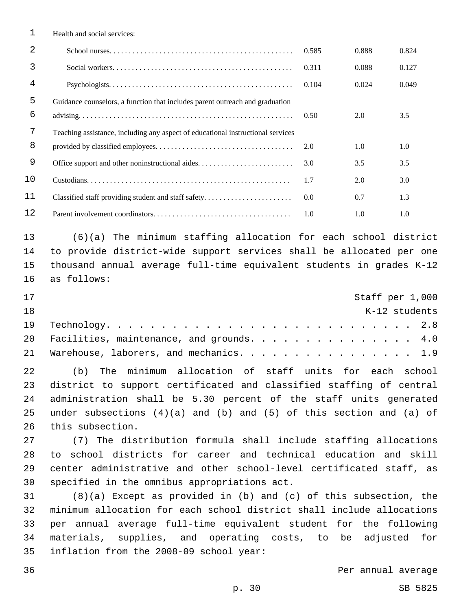| 1  | Health and social services:                                                     |       |       |       |
|----|---------------------------------------------------------------------------------|-------|-------|-------|
| 2  |                                                                                 | 0.585 | 0.888 | 0.824 |
| 3  |                                                                                 | 0.311 | 0.088 | 0.127 |
| 4  |                                                                                 | 0.104 | 0.024 | 0.049 |
| 5  | Guidance counselors, a function that includes parent outreach and graduation    |       |       |       |
| 6  |                                                                                 | 0.50  | 2.0   | 3.5   |
| 7  | Teaching assistance, including any aspect of educational instructional services |       |       |       |
| 8  |                                                                                 | 2.0   | 1.0   | 1.0   |
| 9  | Office support and other noninstructional aides                                 | 3.0   | 3.5   | 3.5   |
| 10 |                                                                                 | 1.7   | 2.0   | 3.0   |
| 11 | Classified staff providing student and staff safety                             | 0.0   | 0.7   | 1.3   |
| 12 |                                                                                 | 1.0   | 1.0   | 1.0   |

 (6)(a) The minimum staffing allocation for each school district to provide district-wide support services shall be allocated per one thousand annual average full-time equivalent students in grades K-12 16 as follows:

| 17  |                                              |  |  | Staff per 1,000 |
|-----|----------------------------------------------|--|--|-----------------|
| 1 R |                                              |  |  | K-12 students   |
|     |                                              |  |  |                 |
|     | 20 Facilities, maintenance, and grounds. 4.0 |  |  |                 |
|     | 21 Warehouse, laborers, and mechanics. 1.9   |  |  |                 |

 (b) The minimum allocation of staff units for each school district to support certificated and classified staffing of central administration shall be 5.30 percent of the staff units generated under subsections (4)(a) and (b) and (5) of this section and (a) of 26 this subsection.

 (7) The distribution formula shall include staffing allocations to school districts for career and technical education and skill center administrative and other school-level certificated staff, as 30 specified in the omnibus appropriations act.

 (8)(a) Except as provided in (b) and (c) of this subsection, the minimum allocation for each school district shall include allocations per annual average full-time equivalent student for the following materials, supplies, and operating costs, to be adjusted for 35 inflation from the 2008-09 school year: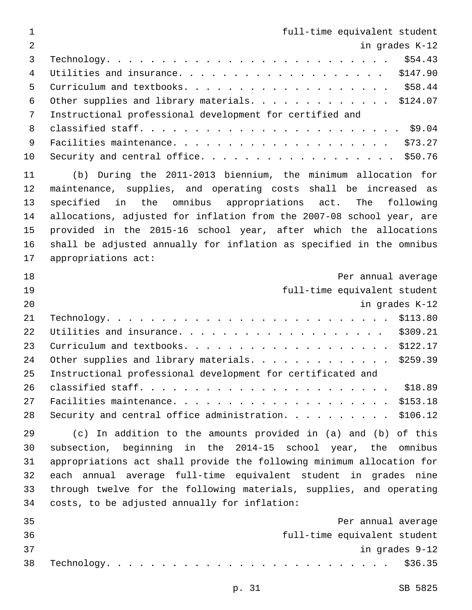| $\mathbf 1$     | full-time equivalent student                                          |
|-----------------|-----------------------------------------------------------------------|
| $\overline{2}$  | in grades K-12                                                        |
| $\mathfrak{Z}$  | \$54.43                                                               |
| $\overline{4}$  | \$147.90<br>Utilities and insurance.                                  |
| 5               |                                                                       |
| $6\phantom{1}6$ | Other supplies and library materials. \$124.07                        |
| 7               | Instructional professional development for certified and              |
| 8               |                                                                       |
| $\mathsf 9$     |                                                                       |
| 10              | Security and central office. \$50.76                                  |
| 11              | (b) During the 2011-2013 biennium, the minimum allocation for         |
| 12              | maintenance, supplies, and operating costs shall be increased as      |
| 13              | in the omnibus appropriations act.<br>specified<br>The<br>following   |
| 14              | allocations, adjusted for inflation from the 2007-08 school year, are |
| 15              | provided in the 2015-16 school year, after which the allocations      |
| 16              | shall be adjusted annually for inflation as specified in the omnibus  |
| 17              | appropriations act:                                                   |
| 18              | Per annual average                                                    |
| 19              | full-time equivalent student                                          |
| 20              | in grades K-12                                                        |
| 21              | \$113.80                                                              |
| 22              | \$309.21                                                              |
| 23              |                                                                       |
| 24              | \$259.39<br>Other supplies and library materials.                     |
| 25              | Instructional professional development for certificated and           |
| 26              | \$18.89                                                               |
| 27              | \$153.18                                                              |
| 28              | \$106.12                                                              |
| 29              | (c) In addition to the amounts provided in (a) and (b) of this        |
| 30              | subsection, beginning in the 2014-15 school year, the<br>omnibus      |
| 31              | appropriations act shall provide the following minimum allocation for |
| 32              | each annual average full-time equivalent student in grades nine       |
| 33              | through twelve for the following materials, supplies, and operating   |
| 34              | costs, to be adjusted annually for inflation:                         |
| 35              | Per annual average                                                    |
| 36              | full-time equivalent student                                          |
| 37              | in grades 9-12                                                        |
| 38              | \$36.35                                                               |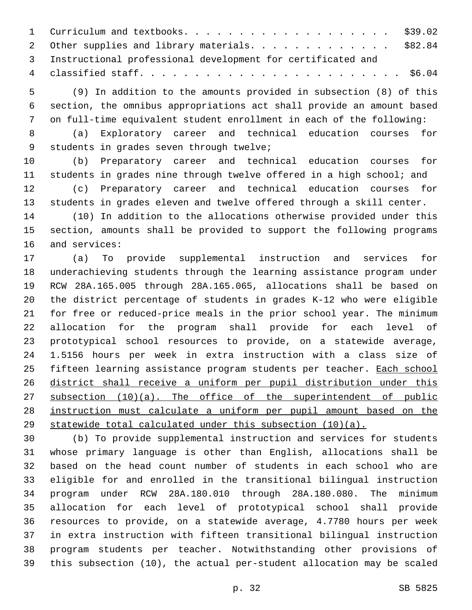| 1 Curriculum and textbooks. \$39.02                           |  |
|---------------------------------------------------------------|--|
| 2 Other supplies and library materials. \$82.84               |  |
| 3 Instructional professional development for certificated and |  |
|                                                               |  |

 (9) In addition to the amounts provided in subsection (8) of this section, the omnibus appropriations act shall provide an amount based on full-time equivalent student enrollment in each of the following:

 (a) Exploratory career and technical education courses for 9 students in grades seven through twelve;

 (b) Preparatory career and technical education courses for students in grades nine through twelve offered in a high school; and (c) Preparatory career and technical education courses for students in grades eleven and twelve offered through a skill center.

 (10) In addition to the allocations otherwise provided under this section, amounts shall be provided to support the following programs 16 and services:

 (a) To provide supplemental instruction and services for underachieving students through the learning assistance program under RCW 28A.165.005 through 28A.165.065, allocations shall be based on the district percentage of students in grades K-12 who were eligible for free or reduced-price meals in the prior school year. The minimum allocation for the program shall provide for each level of prototypical school resources to provide, on a statewide average, 1.5156 hours per week in extra instruction with a class size of 25 fifteen learning assistance program students per teacher. Each school district shall receive a uniform per pupil distribution under this 27 subsection (10)(a). The office of the superintendent of public instruction must calculate a uniform per pupil amount based on the statewide total calculated under this subsection (10)(a).

 (b) To provide supplemental instruction and services for students whose primary language is other than English, allocations shall be based on the head count number of students in each school who are eligible for and enrolled in the transitional bilingual instruction program under RCW 28A.180.010 through 28A.180.080. The minimum allocation for each level of prototypical school shall provide resources to provide, on a statewide average, 4.7780 hours per week in extra instruction with fifteen transitional bilingual instruction program students per teacher. Notwithstanding other provisions of this subsection (10), the actual per-student allocation may be scaled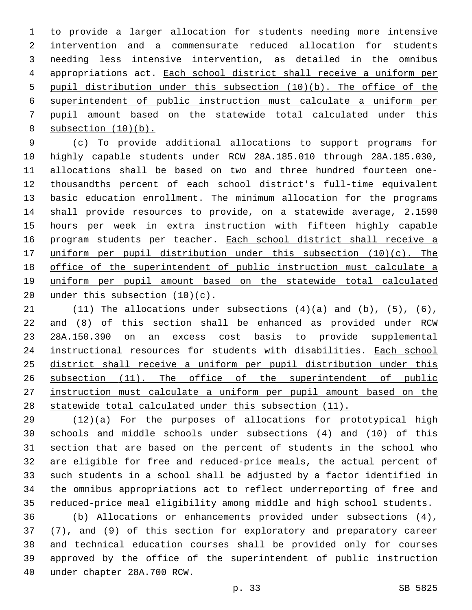to provide a larger allocation for students needing more intensive intervention and a commensurate reduced allocation for students needing less intensive intervention, as detailed in the omnibus appropriations act. Each school district shall receive a uniform per pupil distribution under this subsection (10)(b). The office of the superintendent of public instruction must calculate a uniform per pupil amount based on the statewide total calculated under this 8 subsection  $(10)(b)$ .

 (c) To provide additional allocations to support programs for highly capable students under RCW 28A.185.010 through 28A.185.030, allocations shall be based on two and three hundred fourteen one- thousandths percent of each school district's full-time equivalent basic education enrollment. The minimum allocation for the programs shall provide resources to provide, on a statewide average, 2.1590 hours per week in extra instruction with fifteen highly capable 16 program students per teacher. Each school district shall receive a uniform per pupil distribution under this subsection (10)(c). The office of the superintendent of public instruction must calculate a 19 uniform per pupil amount based on the statewide total calculated under this subsection (10)(c).

 $(11)$  The allocations under subsections  $(4)(a)$  and  $(b)$ ,  $(5)$ ,  $(6)$ , and (8) of this section shall be enhanced as provided under RCW 28A.150.390 on an excess cost basis to provide supplemental instructional resources for students with disabilities. Each school district shall receive a uniform per pupil distribution under this subsection (11). The office of the superintendent of public instruction must calculate a uniform per pupil amount based on the statewide total calculated under this subsection (11).

 (12)(a) For the purposes of allocations for prototypical high schools and middle schools under subsections (4) and (10) of this section that are based on the percent of students in the school who are eligible for free and reduced-price meals, the actual percent of such students in a school shall be adjusted by a factor identified in the omnibus appropriations act to reflect underreporting of free and reduced-price meal eligibility among middle and high school students.

 (b) Allocations or enhancements provided under subsections (4), (7), and (9) of this section for exploratory and preparatory career and technical education courses shall be provided only for courses approved by the office of the superintendent of public instruction 40 under chapter 28A.700 RCW.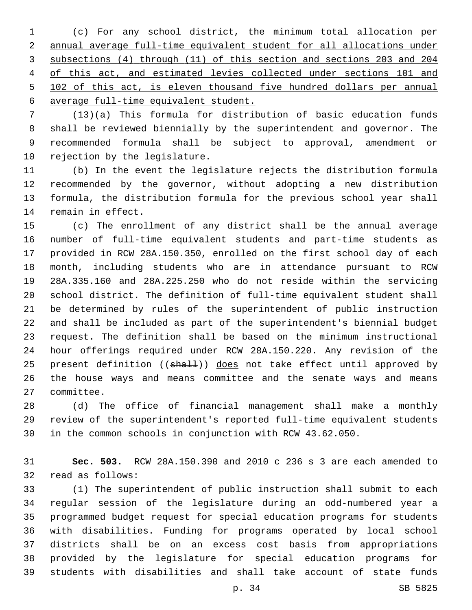(c) For any school district, the minimum total allocation per annual average full-time equivalent student for all allocations under subsections (4) through (11) of this section and sections 203 and 204 of this act, and estimated levies collected under sections 101 and 102 of this act, is eleven thousand five hundred dollars per annual average full-time equivalent student.

 (13)(a) This formula for distribution of basic education funds shall be reviewed biennially by the superintendent and governor. The recommended formula shall be subject to approval, amendment or 10 rejection by the legislature.

 (b) In the event the legislature rejects the distribution formula recommended by the governor, without adopting a new distribution formula, the distribution formula for the previous school year shall 14 remain in effect.

 (c) The enrollment of any district shall be the annual average number of full-time equivalent students and part-time students as provided in RCW 28A.150.350, enrolled on the first school day of each month, including students who are in attendance pursuant to RCW 28A.335.160 and 28A.225.250 who do not reside within the servicing school district. The definition of full-time equivalent student shall be determined by rules of the superintendent of public instruction and shall be included as part of the superintendent's biennial budget request. The definition shall be based on the minimum instructional hour offerings required under RCW 28A.150.220. Any revision of the 25 present definition ((shall)) does not take effect until approved by the house ways and means committee and the senate ways and means 27 committee.

 (d) The office of financial management shall make a monthly review of the superintendent's reported full-time equivalent students in the common schools in conjunction with RCW 43.62.050.

 **Sec. 503.** RCW 28A.150.390 and 2010 c 236 s 3 are each amended to 32 read as follows:

 (1) The superintendent of public instruction shall submit to each regular session of the legislature during an odd-numbered year a programmed budget request for special education programs for students with disabilities. Funding for programs operated by local school districts shall be on an excess cost basis from appropriations provided by the legislature for special education programs for students with disabilities and shall take account of state funds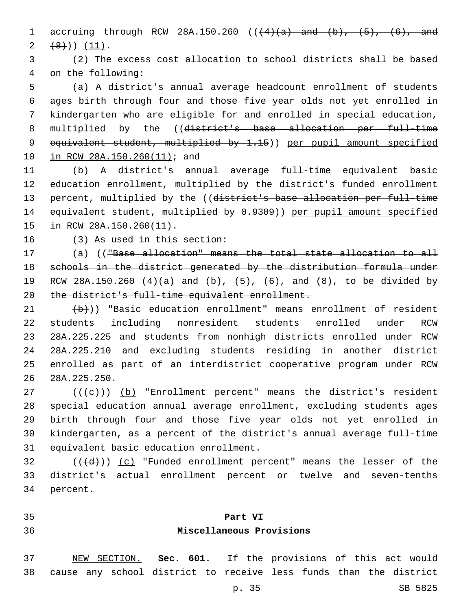1 accruing through RCW 28A.150.260  $((4)$   $(a)$  and  $(b)$ ,  $(5)$ ,  $(6)$ , and  $(2 +8)$ ) (11).

 (2) The excess cost allocation to school districts shall be based 4 on the following:

 (a) A district's annual average headcount enrollment of students ages birth through four and those five year olds not yet enrolled in kindergarten who are eligible for and enrolled in special education, 8 multiplied by the ((district's base allocation per full-time equivalent student, multiplied by 1.15)) per pupil amount specified 10 in RCW 28A.150.260(11); and

 (b) A district's annual average full-time equivalent basic education enrollment, multiplied by the district's funded enrollment 13 percent, multiplied by the ((district's base allocation per full-time equivalent student, multiplied by 0.9309)) per pupil amount specified 15 in RCW 28A.150.260(11).

(3) As used in this section:16

 (a) (("Base allocation" means the total state allocation to all schools in the district generated by the distribution formula under RCW 28A.150.260 (4)(a) and (b), (5), (6), and (8), to be divided by the district's full-time equivalent enrollment.

  $\left(\frac{b}{c}\right)$ ) "Basic education enrollment" means enrollment of resident students including nonresident students enrolled under RCW 28A.225.225 and students from nonhigh districts enrolled under RCW 28A.225.210 and excluding students residing in another district enrolled as part of an interdistrict cooperative program under RCW 28A.225.250.26

 (( $\leftarrow$ )) (b) "Enrollment percent" means the district's resident special education annual average enrollment, excluding students ages birth through four and those five year olds not yet enrolled in kindergarten, as a percent of the district's annual average full-time 31 equivalent basic education enrollment.

 (( $\left(\frac{d}{d}\right)$ ) (c) "Funded enrollment percent" means the lesser of the district's actual enrollment percent or twelve and seven-tenths 34 percent.

**Part VI**

## **Miscellaneous Provisions**

 NEW SECTION. **Sec. 601.** If the provisions of this act would cause any school district to receive less funds than the district